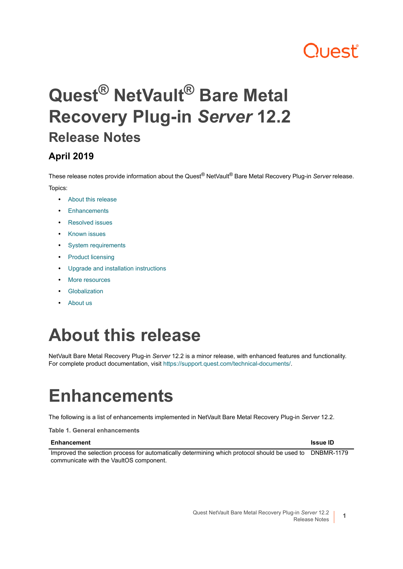# **ון באו**

# **Quest® NetVault® Bare Metal Recovery Plug-in** *Server* **12.2 Release Notes**

#### **April 2019**

These release notes provide information about the Quest® NetVault® Bare Metal Recovery Plug-in *Server* release. Topics:

- **•** [About this release](#page-0-0)
- **•** [Enhancements](#page-0-1)
- **•** [Resolved issues](#page-1-2)
- **•** [Known issues](#page-1-0)
- **•** [System requirements](#page-1-1)
- **•** [Product licensing](#page-2-0)
- **•** [Upgrade and installation instructions](#page-3-0)
- **•** [More resources](#page-3-1)
- **•** [Globalization](#page-3-2)
- **•** [About us](#page-3-3)

### <span id="page-0-0"></span>**About this release**

NetVault Bare Metal Recovery Plug-in *Server* 12.2 is a minor release, with enhanced features and functionality. For complete product documentation, visit [https://support.quest.com/technical-documents/.](https://support.quest.com/technical-documents/)

# <span id="page-0-1"></span>**Enhancements**

The following is a list of enhancements implemented in NetVault Bare Metal Recovery Plug-in *Server* 12.2.

**Table 1. General enhancements**

#### **Enhancement Issue ID**

Improved the selection process for automatically determining which protocol should be used to DNBMR-1179communicate with the VaultOS component.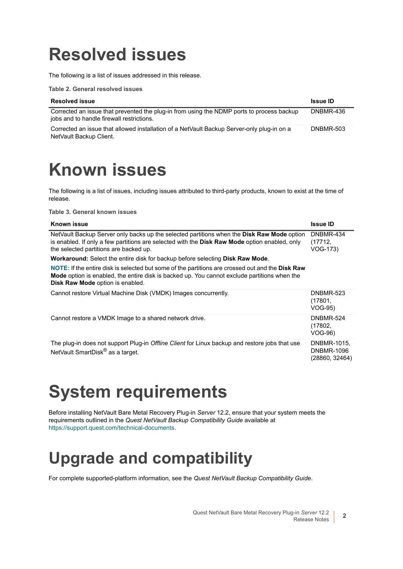## <span id="page-1-2"></span>**Resolved issues**

The following is a list of issues addressed in this release.

**Table 2. General resolved issues**

| <b>Resolved issue</b>                                                                                                                  | <b>Issue ID</b> |
|----------------------------------------------------------------------------------------------------------------------------------------|-----------------|
| Corrected an issue that prevented the plug-in from using the NDMP ports to process backup<br>jobs and to handle firewall restrictions. | DNBMR-436       |
| Corrected an issue that allowed installation of a NetVault Backup Server-only plug-in on a<br>NetVault Backup Client.                  | DNBMR-503       |

# <span id="page-1-0"></span>**Known issues**

The following is a list of issues, including issues attributed to third-party products, known to exist at the time of release.

**Table 3. General known issues**

| Known issue                                                                                                                                                                                                                                  | <b>Issue ID</b>                                    |
|----------------------------------------------------------------------------------------------------------------------------------------------------------------------------------------------------------------------------------------------|----------------------------------------------------|
| NetVault Backup Server only backs up the selected partitions when the <b>Disk Raw Mode</b> option<br>is enabled. If only a few partitions are selected with the Disk Raw Mode option enabled, only<br>the selected partitions are backed up. | DNBMR-434<br>(17712,<br>VOG-173)                   |
| <b>Workaround:</b> Select the entire disk for backup before selecting <b>Disk Raw Mode</b> .                                                                                                                                                 |                                                    |
| NOTE: If the entire disk is selected but some of the partitions are crossed out and the Disk Raw<br>Mode option is enabled, the entire disk is backed up. You cannot exclude partitions when the<br><b>Disk Raw Mode option is enabled.</b>  |                                                    |
| Cannot restore Virtual Machine Disk (VMDK) Images concurrently.                                                                                                                                                                              | DNBMR-523<br>(17801,<br>VOG-95)                    |
| Cannot restore a VMDK Image to a shared network drive.                                                                                                                                                                                       | DNBMR-524<br>(17802,<br>VOG-96)                    |
| The plug-in does not support Plug-in Offline Client for Linux backup and restore jobs that use<br>NetVault SmartDisk <sup>®</sup> as a target.                                                                                               | DNBMR-1015,<br><b>DNBMR-1096</b><br>(28860, 32464) |

# <span id="page-1-1"></span>**System requirements**

Before installing NetVault Bare Metal Recovery Plug-in *Server* 12.2, ensure that your system meets the requirements outlined in the *Quest NetVault Backup Compatibility Guide* available at [https://support.quest.com/technical-documents.](https://support.quest.com/technical-documents)

### **Upgrade and compatibility**

For complete supported-platform information, see the *Quest NetVault Backup Compatibility Guide*.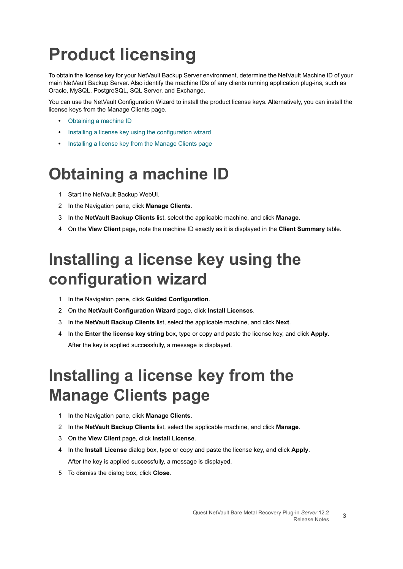# <span id="page-2-0"></span>**Product licensing**

To obtain the license key for your NetVault Backup Server environment, determine the NetVault Machine ID of your main NetVault Backup Server. Also identify the machine IDs of any clients running application plug-ins, such as Oracle, MySQL, PostgreSQL, SQL Server, and Exchange.

You can use the NetVault Configuration Wizard to install the product license keys. Alternatively, you can install the license keys from the Manage Clients page.

- **•** [Obtaining a machine ID](#page-2-1)
- **•** [Installing a license key using the configuration wizard](#page-2-2)
- **•** [Installing a license key from the Manage Clients page](#page-2-3)

#### <span id="page-2-1"></span>**Obtaining a machine ID**

- 1 Start the NetVault Backup WebUI.
- 2 In the Navigation pane, click **Manage Clients**.
- 3 In the **NetVault Backup Clients** list, select the applicable machine, and click **Manage**.
- 4 On the **View Client** page, note the machine ID exactly as it is displayed in the **Client Summary** table.

### <span id="page-2-2"></span>**Installing a license key using the configuration wizard**

- 1 In the Navigation pane, click **Guided Configuration**.
- 2 On the **NetVault Configuration Wizard** page, click **Install Licenses**.
- 3 In the **NetVault Backup Clients** list, select the applicable machine, and click **Next**.
- 4 In the **Enter the license key string** box, type or copy and paste the license key, and click **Apply**. After the key is applied successfully, a message is displayed.

### <span id="page-2-3"></span>**Installing a license key from the Manage Clients page**

- 1 In the Navigation pane, click **Manage Clients**.
- 2 In the **NetVault Backup Clients** list, select the applicable machine, and click **Manage**.
- 3 On the **View Client** page, click **Install License**.
- 4 In the **Install License** dialog box, type or copy and paste the license key, and click **Apply**. After the key is applied successfully, a message is displayed.
- 5 To dismiss the dialog box, click **Close**.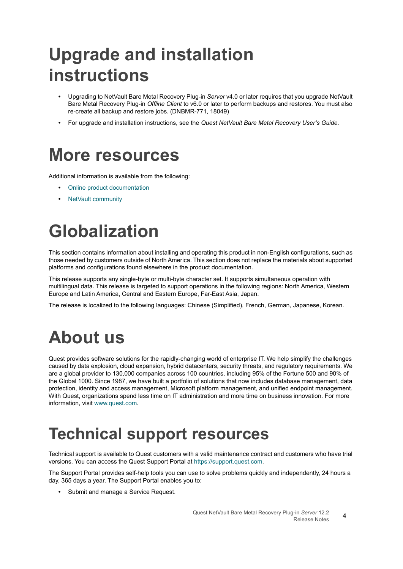# <span id="page-3-0"></span>**Upgrade and installation instructions**

- **•** Upgrading to NetVault Bare Metal Recovery Plug-in *Server* v4.0 or later requires that you upgrade NetVault Bare Metal Recovery Plug-in *Offline Client* to v6.0 or later to perform backups and restores. You must also re-create all backup and restore jobs. (DNBMR-771, 18049)
- **•** For upgrade and installation instructions, see the *Quest NetVault Bare Metal Recovery User's Guide*.

### <span id="page-3-1"></span>**More resources**

Additional information is available from the following:

- **•** [Online product documentation](https://support.quest.com/technical-documents/)
- **•** [NetVault community](https://www.quest.com/community/products/netvault/)

# <span id="page-3-2"></span>**Globalization**

This section contains information about installing and operating this product in non-English configurations, such as those needed by customers outside of North America. This section does not replace the materials about supported platforms and configurations found elsewhere in the product documentation.

This release supports any single-byte or multi-byte character set. It supports simultaneous operation with multilingual data. This release is targeted to support operations in the following regions: North America, Western Europe and Latin America, Central and Eastern Europe, Far-East Asia, Japan.

The release is localized to the following languages: Chinese (Simplified), French, German, Japanese, Korean.

### <span id="page-3-3"></span>**About us**

Quest provides software solutions for the rapidly-changing world of enterprise IT. We help simplify the challenges caused by data explosion, cloud expansion, hybrid datacenters, security threats, and regulatory requirements. We are a global provider to 130,000 companies across 100 countries, including 95% of the Fortune 500 and 90% of the Global 1000. Since 1987, we have built a portfolio of solutions that now includes database management, data protection, identity and access management, Microsoft platform management, and unified endpoint management. With Quest, organizations spend less time on IT administration and more time on business innovation. For more information, visit [www.quest.com](https://www.quest.com/company/contact-us.aspx).

#### **Technical support resources**

Technical support is available to Quest customers with a valid maintenance contract and customers who have trial versions. You can access the Quest Support Portal at [https://support.quest.com.](https://support.quest.com)

The Support Portal provides self-help tools you can use to solve problems quickly and independently, 24 hours a day, 365 days a year. The Support Portal enables you to:

**•** Submit and manage a Service Request.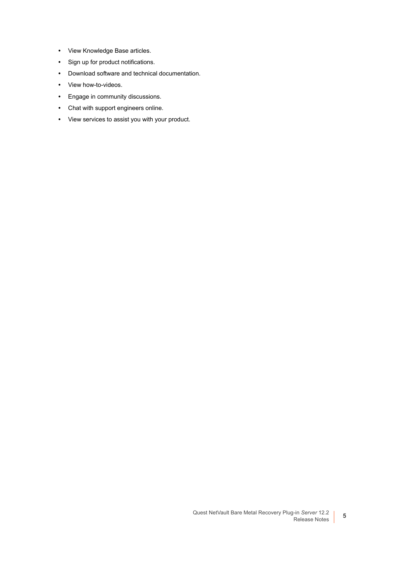- **•** View Knowledge Base articles.
- **•** Sign up for product notifications.
- **•** Download software and technical documentation.
- **•** View how-to-videos.
- **•** Engage in community discussions.
- **•** Chat with support engineers online.
- **•** View services to assist you with your product.